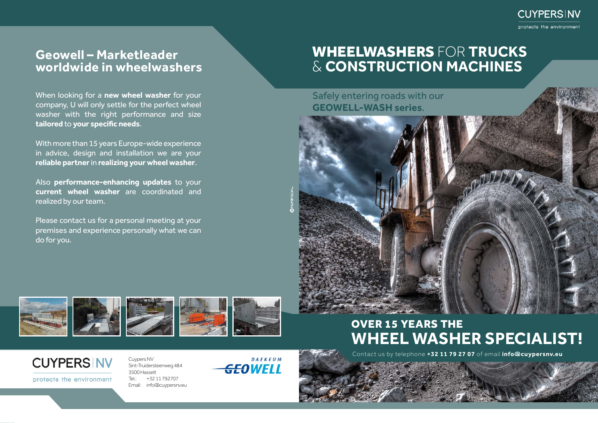## WHEELWASHERS FOR **TRUCKS**  & **CONSTRUCTION MACHINES**

Cuypers NV Sint-Truidersteenweg 484 3500 Hasselt Tel.: +32 11 792707 Email: info@cuypersnv.eu







Safely entering roads with our **GEOWELL-WASH series**.



Contact us by telephone **+32 11 79 27 07** of email **info@cuypersnv.eu**



protects the environment

When looking for a **new wheel washer** for your company, U will only settle for the perfect wheel washer with the right performance and size **tailored** to **your specific needs**.

With more than 15 years Europe-wide experience in advice, design and installation we are your **reliable partner** in **realizing your wheel washer**.

Also **performance-enhancing updates** to your **current wheel washer** are coordinated and realized by our team.

Please contact us for a personal meeting at your premises and experience personally what we can do for you.

### **Geowell – Marketleader worldwide in wheelwashers**

### OVER 15 YEARS THE **WHEEL WASHER SPECIALIST!**